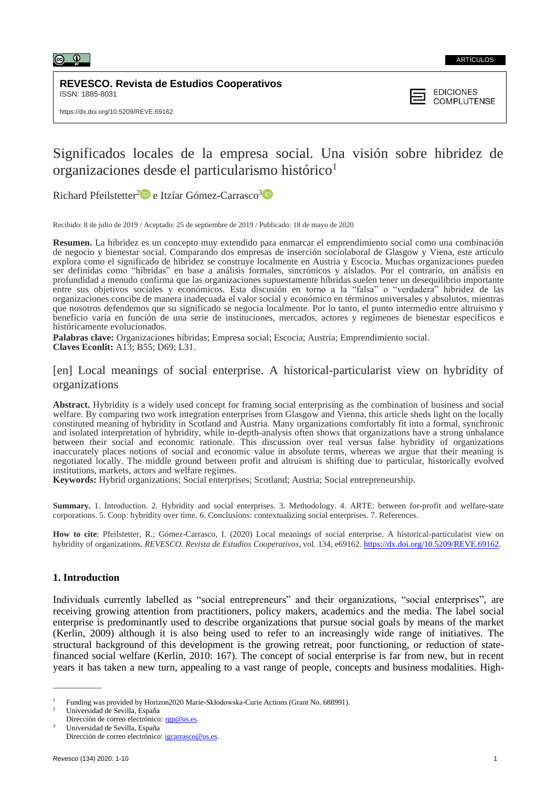

## **REVESCO. Revista de Estudios Cooperativos** ISSN: 1885-8031



# Significados locales de la empresa social. Una visión sobre hibridez de organizaciones desde el particularismo histórico<sup>1</sup>

Richard Pfeilstetter<sup>[2](https://orcid.org/0000-0003-0055-8859)</sup><sup>10</sup> e Itzíar Gómez-Carrasco<sup>[3](https://orcid.org/0000-0003-4414-9184)</sup>

Recibido: 8 de julio de 2019 / Aceptado: 25 de septiembre de 2019 / Publicado: 18 de mayo de 2020

**Resumen.** La hibridez es un concepto muy extendido para enmarcar el emprendimiento social como una combinación de negocio y bienestar social. Comparando dos empresas de inserción sociolaboral de Glasgow y Viena, este artículo explora como el significado de hibridez se construye localmente en Austria y Escocia. Muchas organizaciones pueden ser definidas como "híbridas" en base a análisis formales, sincrónicos y aislados. Por el contrario, un análisis en profundidad a menudo confirma que las organizaciones supuestamente híbridas suelen tener un desequilibrio importante entre sus objetivos sociales y económicos. Esta discusión en torno a la "falsa" o "verdadera" hibridez de las organizaciones concibe de manera inadecuada el valor social y económico en términos universales y absolutos, mientras que nosotros defendemos que su significado se negocia localmente. Por lo tanto, el punto intermedio entre altruismo y beneficio varía en función de una serie de instituciones, mercados, actores y regímenes de bienestar específicos e históricamente evolucionados.

**Palabras clave:** Organizaciones híbridas; Empresa social; Escocia; Austria; Emprendimiento social. **Claves Econlit:** A13; B55; D69; L31.

## [en] Local meanings of social enterprise. A historical-particularist view on hybridity of organizations

**Abstract.** Hybridity is a widely used concept for framing social enterprising as the combination of business and social welfare. By comparing two work integration enterprises from Glasgow and Vienna, this article sheds light on the locally constituted meaning of hybridity in Scotland and Austria. Many organizations comfortably fit into a formal, synchronic and isolated interpretation of hybridity, while in-depth-analysis often shows that organizations have a strong unbalance between their social and economic rationale. This discussion over real versus false hybridity of organizations inaccurately places notions of social and economic value in absolute terms, whereas we argue that their meaning is negotiated locally. The middle ground between profit and altruism is shifting due to particular, historically evolved institutions, markets, actors and welfare regimes.

**Keywords:** Hybrid organizations; Social enterprises; Scotland; Austria; Social entrepreneurship.

**Summary.** 1. Introduction. 2. Hybridity and social enterprises. 3. Methodology. 4. ARTE: between for-profit and welfare-state corporations. 5. Coop: hybridity over time. 6. Conclusions: contextualizing social enterprises. 7. References.

How to cite: Pfeilstetter, R.; Gómez-Carrasco, I. (2020) Local meanings of social enterprise. A historical-particularist view on hybridity of organizations. *REVESCO. Revista de Estudios Cooperativos*, vol. 134, e69162. [https://dx.doi.org/10.5209/REVE.69162.](https://dx.doi.org/10.5209/REVE.69162)

## **1. Introduction**

Individuals currently labelled as "social entrepreneurs" and their organizations, "social enterprises", are receiving growing attention from practitioners, policy makers, academics and the media. The label social enterprise is predominantly used to describe organizations that pursue social goals by means of the market (Kerlin, 2009) although it is also being used to refer to an increasingly wide range of initiatives. The structural background of this development is the growing retreat, poor functioning, or reduction of statefinanced social welfare (Kerlin, 2010: 167). The concept of social enterprise is far from new, but in recent years it has taken a new turn, appealing to a vast range of people, concepts and business modalities. High-

\_\_\_\_\_\_\_\_\_\_\_\_\_

<sup>1</sup> Funding was provided by Horizon2020 Marie-Skłodowska-Curie Actions (Grant No. 688991).

<sup>2</sup> Universidad de Sevilla, España

Dirección de correo electrónico: [rgp@us.es.](mailto:rgp@us.es) <sup>3</sup> Universidad de Sevilla, España Dirección de correo electrónico: [igcarrasco@us.es.](mailto:igcarrasco@us.es)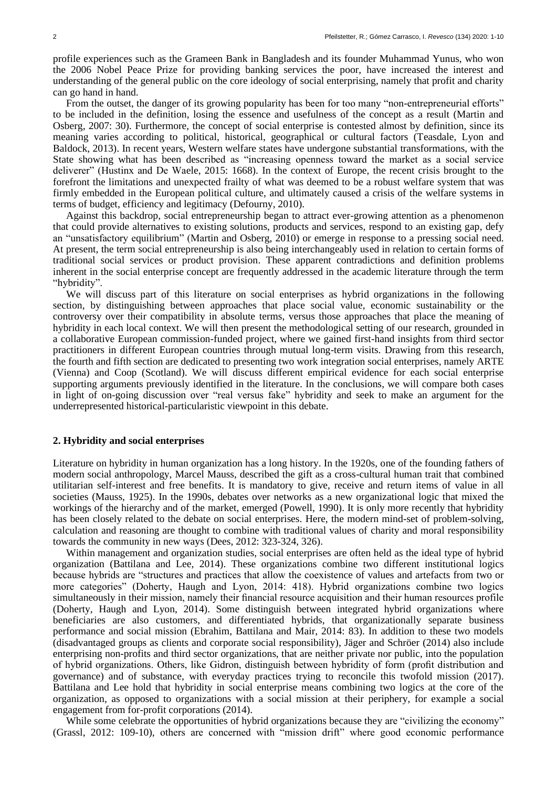profile experiences such as the Grameen Bank in Bangladesh and its founder Muhammad Yunus, who won the 2006 Nobel Peace Prize for providing banking services the poor, have increased the interest and understanding of the general public on the core ideology of social enterprising, namely that profit and charity can go hand in hand.

From the outset, the danger of its growing popularity has been for too many "non-entrepreneurial efforts" to be included in the definition, losing the essence and usefulness of the concept as a result (Martin and Osberg, 2007: 30). Furthermore, the concept of social enterprise is contested almost by definition, since its meaning varies according to political, historical, geographical or cultural factors (Teasdale, Lyon and Baldock, 2013). In recent years, Western welfare states have undergone substantial transformations, with the State showing what has been described as "increasing openness toward the market as a social service deliverer" (Hustinx and De Waele, 2015: 1668). In the context of Europe, the recent crisis brought to the forefront the limitations and unexpected frailty of what was deemed to be a robust welfare system that was firmly embedded in the European political culture, and ultimately caused a crisis of the welfare systems in terms of budget, efficiency and legitimacy (Defourny, 2010).

Against this backdrop, social entrepreneurship began to attract ever-growing attention as a phenomenon that could provide alternatives to existing solutions, products and services, respond to an existing gap, defy an "unsatisfactory equilibrium" (Martin and Osberg, 2010) or emerge in response to a pressing social need. At present, the term social entrepreneurship is also being interchangeably used in relation to certain forms of traditional social services or product provision. These apparent contradictions and definition problems inherent in the social enterprise concept are frequently addressed in the academic literature through the term "hybridity".

We will discuss part of this literature on social enterprises as hybrid organizations in the following section, by distinguishing between approaches that place social value, economic sustainability or the controversy over their compatibility in absolute terms, versus those approaches that place the meaning of hybridity in each local context. We will then present the methodological setting of our research, grounded in a collaborative European commission-funded project, where we gained first-hand insights from third sector practitioners in different European countries through mutual long-term visits. Drawing from this research, the fourth and fifth section are dedicated to presenting two work integration social enterprises, namely ARTE (Vienna) and Coop (Scotland). We will discuss different empirical evidence for each social enterprise supporting arguments previously identified in the literature. In the conclusions, we will compare both cases in light of on-going discussion over "real versus fake" hybridity and seek to make an argument for the underrepresented historical-particularistic viewpoint in this debate.

#### **2. Hybridity and social enterprises**

Literature on hybridity in human organization has a long history. In the 1920s, one of the founding fathers of modern social anthropology, Marcel Mauss, described the gift as a cross-cultural human trait that combined utilitarian self-interest and free benefits. It is mandatory to give, receive and return items of value in all societies (Mauss, 1925). In the 1990s, debates over networks as a new organizational logic that mixed the workings of the hierarchy and of the market, emerged (Powell, 1990). It is only more recently that hybridity has been closely related to the debate on social enterprises. Here, the modern mind-set of problem-solving, calculation and reasoning are thought to combine with traditional values of charity and moral responsibility towards the community in new ways (Dees, 2012: 323-324, 326).

Within management and organization studies, social enterprises are often held as the ideal type of hybrid organization (Battilana and Lee, 2014). These organizations combine two different institutional logics because hybrids are "structures and practices that allow the coexistence of values and artefacts from two or more categories" (Doherty, Haugh and Lyon, 2014: 418). Hybrid organizations combine two logics simultaneously in their mission, namely their financial resource acquisition and their human resources profile (Doherty, Haugh and Lyon, 2014). Some distinguish between integrated hybrid organizations where beneficiaries are also customers, and differentiated hybrids, that organizationally separate business performance and social mission (Ebrahim, Battilana and Mair, 2014: 83). In addition to these two models (disadvantaged groups as clients and corporate social responsibility), Jäger and Schröer (2014) also include enterprising non-profits and third sector organizations, that are neither private nor public, into the population of hybrid organizations. Others, like Gidron, distinguish between hybridity of form (profit distribution and governance) and of substance, with everyday practices trying to reconcile this twofold mission (2017). Battilana and Lee hold that hybridity in social enterprise means combining two logics at the core of the organization, as opposed to organizations with a social mission at their periphery, for example a social engagement from for-profit corporations (2014).

While some celebrate the opportunities of hybrid organizations because they are "civilizing the economy" (Grassl, 2012: 109-10), others are concerned with "mission drift" where good economic performance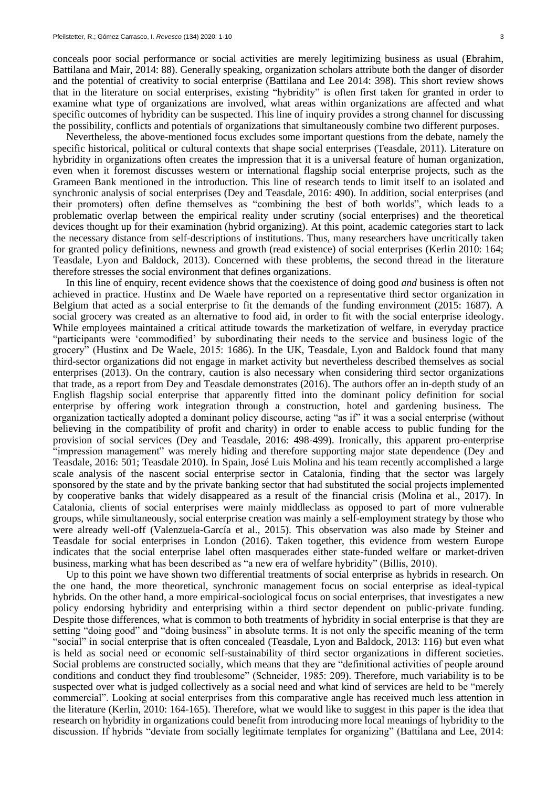conceals poor social performance or social activities are merely legitimizing business as usual (Ebrahim, Battilana and Mair, 2014: 88). Generally speaking, organization scholars attribute both the danger of disorder and the potential of creativity to social enterprise (Battilana and Lee 2014: 398). This short review shows that in the literature on social enterprises, existing "hybridity" is often first taken for granted in order to examine what type of organizations are involved, what areas within organizations are affected and what specific outcomes of hybridity can be suspected. This line of inquiry provides a strong channel for discussing the possibility, conflicts and potentials of organizations that simultaneously combine two different purposes.

Nevertheless, the above-mentioned focus excludes some important questions from the debate, namely the specific historical, political or cultural contexts that shape social enterprises (Teasdale, 2011). Literature on hybridity in organizations often creates the impression that it is a universal feature of human organization, even when it foremost discusses western or international flagship social enterprise projects, such as the Grameen Bank mentioned in the introduction. This line of research tends to limit itself to an isolated and synchronic analysis of social enterprises (Dey and Teasdale, 2016: 490). In addition, social enterprises (and their promoters) often define themselves as "combining the best of both worlds", which leads to a problematic overlap between the empirical reality under scrutiny (social enterprises) and the theoretical devices thought up for their examination (hybrid organizing). At this point, academic categories start to lack the necessary distance from self-descriptions of institutions. Thus, many researchers have uncritically taken for granted policy definitions, newness and growth (read existence) of social enterprises (Kerlin 2010: 164; Teasdale, Lyon and Baldock, 2013). Concerned with these problems, the second thread in the literature therefore stresses the social environment that defines organizations.

In this line of enquiry, recent evidence shows that the coexistence of doing good *and* business is often not achieved in practice. Hustinx and De Waele have reported on a representative third sector organization in Belgium that acted as a social enterprise to fit the demands of the funding environment (2015: 1687). A social grocery was created as an alternative to food aid, in order to fit with the social enterprise ideology. While employees maintained a critical attitude towards the marketization of welfare, in everyday practice "participants were 'commodified' by subordinating their needs to the service and business logic of the grocery" (Hustinx and De Waele, 2015: 1686). In the UK, Teasdale, Lyon and Baldock found that many third-sector organizations did not engage in market activity but nevertheless described themselves as social enterprises (2013). On the contrary, caution is also necessary when considering third sector organizations that trade, as a report from Dey and Teasdale demonstrates (2016). The authors offer an in-depth study of an English flagship social enterprise that apparently fitted into the dominant policy definition for social enterprise by offering work integration through a construction, hotel and gardening business. The organization tactically adopted a dominant policy discourse, acting "as if" it was a social enterprise (without believing in the compatibility of profit and charity) in order to enable access to public funding for the provision of social services (Dey and Teasdale, 2016: 498-499). Ironically, this apparent pro-enterprise "impression management" was merely hiding and therefore supporting major state dependence (Dey and Teasdale, 2016: 501; Teasdale 2010). In Spain, José Luis Molina and his team recently accomplished a large scale analysis of the nascent social enterprise sector in Catalonia, finding that the sector was largely sponsored by the state and by the private banking sector that had substituted the social projects implemented by cooperative banks that widely disappeared as a result of the financial crisis (Molina et al., 2017). In Catalonia, clients of social enterprises were mainly middleclass as opposed to part of more vulnerable groups, while simultaneously, social enterprise creation was mainly a self-employment strategy by those who were already well-off (Valenzuela-García et al., 2015). This observation was also made by Steiner and Teasdale for social enterprises in London (2016). Taken together, this evidence from western Europe indicates that the social enterprise label often masquerades either state-funded welfare or market-driven business, marking what has been described as "a new era of welfare hybridity" (Billis, 2010).

Up to this point we have shown two differential treatments of social enterprise as hybrids in research. On the one hand, the more theoretical, synchronic management focus on social enterprise as ideal-typical hybrids. On the other hand, a more empirical-sociological focus on social enterprises, that investigates a new policy endorsing hybridity and enterprising within a third sector dependent on public-private funding. Despite those differences, what is common to both treatments of hybridity in social enterprise is that they are setting "doing good" and "doing business" in absolute terms. It is not only the specific meaning of the term "social" in social enterprise that is often concealed (Teasdale, Lyon and Baldock, 2013: 116) but even what is held as social need or economic self-sustainability of third sector organizations in different societies. Social problems are constructed socially, which means that they are "definitional activities of people around conditions and conduct they find troublesome" (Schneider, 1985: 209). Therefore, much variability is to be suspected over what is judged collectively as a social need and what kind of services are held to be "merely commercial". Looking at social enterprises from this comparative angle has received much less attention in the literature (Kerlin, 2010: 164-165). Therefore, what we would like to suggest in this paper is the idea that research on hybridity in organizations could benefit from introducing more local meanings of hybridity to the discussion. If hybrids "deviate from socially legitimate templates for organizing" (Battilana and Lee, 2014: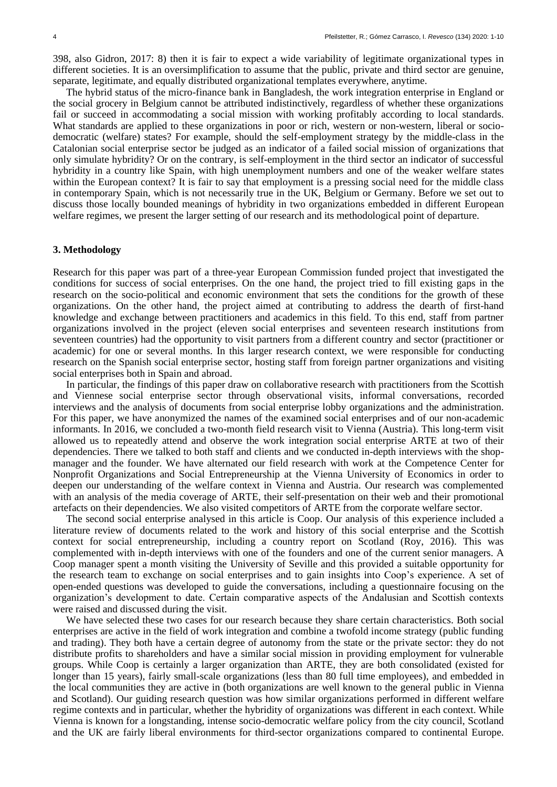398, also Gidron, 2017: 8) then it is fair to expect a wide variability of legitimate organizational types in different societies. It is an oversimplification to assume that the public, private and third sector are genuine, separate, legitimate, and equally distributed organizational templates everywhere, anytime.

The hybrid status of the micro-finance bank in Bangladesh, the work integration enterprise in England or the social grocery in Belgium cannot be attributed indistinctively, regardless of whether these organizations fail or succeed in accommodating a social mission with working profitably according to local standards. What standards are applied to these organizations in poor or rich, western or non-western, liberal or sociodemocratic (welfare) states? For example, should the self-employment strategy by the middle-class in the Catalonian social enterprise sector be judged as an indicator of a failed social mission of organizations that only simulate hybridity? Or on the contrary, is self-employment in the third sector an indicator of successful hybridity in a country like Spain, with high unemployment numbers and one of the weaker welfare states within the European context? It is fair to say that employment is a pressing social need for the middle class in contemporary Spain, which is not necessarily true in the UK, Belgium or Germany. Before we set out to discuss those locally bounded meanings of hybridity in two organizations embedded in different European welfare regimes, we present the larger setting of our research and its methodological point of departure.

## **3. Methodology**

Research for this paper was part of a three-year European Commission funded project that investigated the conditions for success of social enterprises. On the one hand, the project tried to fill existing gaps in the research on the socio-political and economic environment that sets the conditions for the growth of these organizations. On the other hand, the project aimed at contributing to address the dearth of first-hand knowledge and exchange between practitioners and academics in this field. To this end, staff from partner organizations involved in the project (eleven social enterprises and seventeen research institutions from seventeen countries) had the opportunity to visit partners from a different country and sector (practitioner or academic) for one or several months. In this larger research context, we were responsible for conducting research on the Spanish social enterprise sector, hosting staff from foreign partner organizations and visiting social enterprises both in Spain and abroad.

In particular, the findings of this paper draw on collaborative research with practitioners from the Scottish and Viennese social enterprise sector through observational visits, informal conversations, recorded interviews and the analysis of documents from social enterprise lobby organizations and the administration. For this paper, we have anonymized the names of the examined social enterprises and of our non-academic informants. In 2016, we concluded a two-month field research visit to Vienna (Austria). This long-term visit allowed us to repeatedly attend and observe the work integration social enterprise ARTE at two of their dependencies. There we talked to both staff and clients and we conducted in-depth interviews with the shopmanager and the founder. We have alternated our field research with work at the Competence Center for Nonprofit Organizations and Social Entrepreneurship at the Vienna University of Economics in order to deepen our understanding of the welfare context in Vienna and Austria. Our research was complemented with an analysis of the media coverage of ARTE, their self-presentation on their web and their promotional artefacts on their dependencies. We also visited competitors of ARTE from the corporate welfare sector.

The second social enterprise analysed in this article is Coop. Our analysis of this experience included a literature review of documents related to the work and history of this social enterprise and the Scottish context for social entrepreneurship, including a country report on Scotland (Roy, 2016). This was complemented with in-depth interviews with one of the founders and one of the current senior managers. A Coop manager spent a month visiting the University of Seville and this provided a suitable opportunity for the research team to exchange on social enterprises and to gain insights into Coop's experience. A set of open-ended questions was developed to guide the conversations, including a questionnaire focusing on the organization's development to date. Certain comparative aspects of the Andalusian and Scottish contexts were raised and discussed during the visit.

We have selected these two cases for our research because they share certain characteristics. Both social enterprises are active in the field of work integration and combine a twofold income strategy (public funding and trading). They both have a certain degree of autonomy from the state or the private sector: they do not distribute profits to shareholders and have a similar social mission in providing employment for vulnerable groups. While Coop is certainly a larger organization than ARTE, they are both consolidated (existed for longer than 15 years), fairly small-scale organizations (less than 80 full time employees), and embedded in the local communities they are active in (both organizations are well known to the general public in Vienna and Scotland). Our guiding research question was how similar organizations performed in different welfare regime contexts and in particular, whether the hybridity of organizations was different in each context. While Vienna is known for a longstanding, intense socio-democratic welfare policy from the city council, Scotland and the UK are fairly liberal environments for third-sector organizations compared to continental Europe.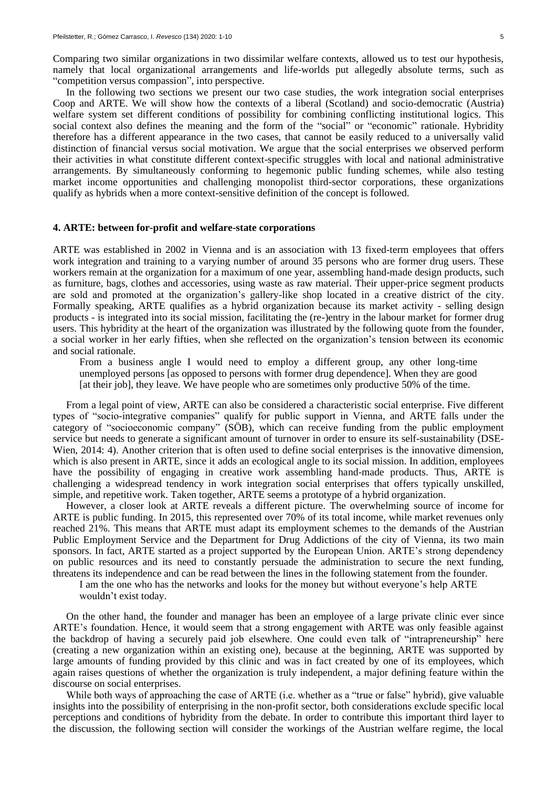Comparing two similar organizations in two dissimilar welfare contexts, allowed us to test our hypothesis, namely that local organizational arrangements and life-worlds put allegedly absolute terms, such as "competition versus compassion", into perspective.

In the following two sections we present our two case studies, the work integration social enterprises Coop and ARTE. We will show how the contexts of a liberal (Scotland) and socio-democratic (Austria) welfare system set different conditions of possibility for combining conflicting institutional logics. This social context also defines the meaning and the form of the "social" or "economic" rationale. Hybridity therefore has a different appearance in the two cases, that cannot be easily reduced to a universally valid distinction of financial versus social motivation. We argue that the social enterprises we observed perform their activities in what constitute different context-specific struggles with local and national administrative arrangements. By simultaneously conforming to hegemonic public funding schemes, while also testing market income opportunities and challenging monopolist third-sector corporations, these organizations qualify as hybrids when a more context-sensitive definition of the concept is followed.

#### **4. ARTE: between for-profit and welfare-state corporations**

ARTE was established in 2002 in Vienna and is an association with 13 fixed-term employees that offers work integration and training to a varying number of around 35 persons who are former drug users. These workers remain at the organization for a maximum of one year, assembling hand-made design products, such as furniture, bags, clothes and accessories, using waste as raw material. Their upper-price segment products are sold and promoted at the organization's gallery-like shop located in a creative district of the city. Formally speaking, ARTE qualifies as a hybrid organization because its market activity - selling design products - is integrated into its social mission, facilitating the (re-)entry in the labour market for former drug users. This hybridity at the heart of the organization was illustrated by the following quote from the founder, a social worker in her early fifties, when she reflected on the organization's tension between its economic and social rationale.

From a business angle I would need to employ a different group, any other long-time unemployed persons [as opposed to persons with former drug dependence]. When they are good [at their job], they leave. We have people who are sometimes only productive 50% of the time.

From a legal point of view, ARTE can also be considered a characteristic social enterprise. Five different types of "socio-integrative companies" qualify for public support in Vienna, and ARTE falls under the category of "socioeconomic company" (SÖB), which can receive funding from the public employment service but needs to generate a significant amount of turnover in order to ensure its self-sustainability (DSE-Wien, 2014: 4). Another criterion that is often used to define social enterprises is the innovative dimension, which is also present in ARTE, since it adds an ecological angle to its social mission. In addition, employees have the possibility of engaging in creative work assembling hand-made products. Thus, ARTE is challenging a widespread tendency in work integration social enterprises that offers typically unskilled, simple, and repetitive work. Taken together, ARTE seems a prototype of a hybrid organization.

However, a closer look at ARTE reveals a different picture. The overwhelming source of income for ARTE is public funding. In 2015, this represented over 70% of its total income, while market revenues only reached 21%. This means that ARTE must adapt its employment schemes to the demands of the Austrian Public Employment Service and the Department for Drug Addictions of the city of Vienna, its two main sponsors. In fact, ARTE started as a project supported by the European Union. ARTE's strong dependency on public resources and its need to constantly persuade the administration to secure the next funding, threatens its independence and can be read between the lines in the following statement from the founder.

I am the one who has the networks and looks for the money but without everyone's help ARTE

wouldn't exist today.

On the other hand, the founder and manager has been an employee of a large private clinic ever since ARTE's foundation. Hence, it would seem that a strong engagement with ARTE was only feasible against the backdrop of having a securely paid job elsewhere. One could even talk of "intrapreneurship" here (creating a new organization within an existing one), because at the beginning, ARTE was supported by large amounts of funding provided by this clinic and was in fact created by one of its employees, which again raises questions of whether the organization is truly independent, a major defining feature within the discourse on social enterprises.

While both ways of approaching the case of ARTE (i.e. whether as a "true or false" hybrid), give valuable insights into the possibility of enterprising in the non-profit sector, both considerations exclude specific local perceptions and conditions of hybridity from the debate. In order to contribute this important third layer to the discussion, the following section will consider the workings of the Austrian welfare regime, the local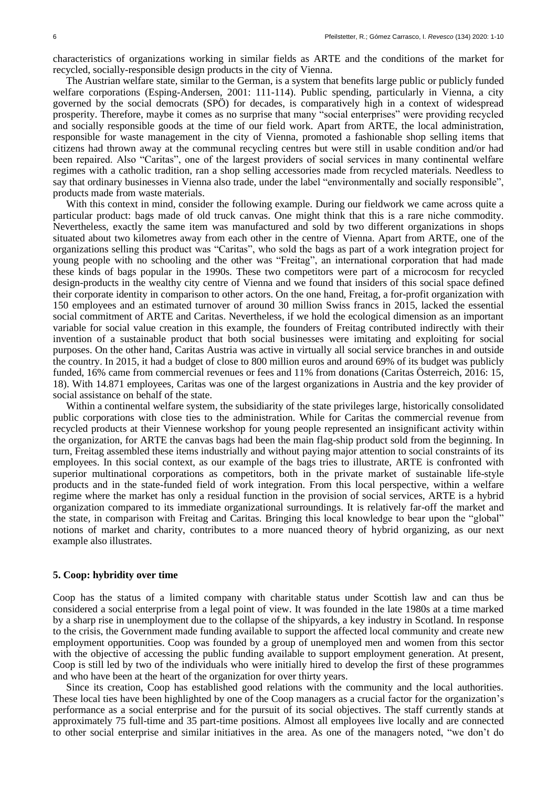characteristics of organizations working in similar fields as ARTE and the conditions of the market for recycled, socially-responsible design products in the city of Vienna.

The Austrian welfare state, similar to the German, is a system that benefits large public or publicly funded welfare corporations (Esping-Andersen, 2001: 111-114). Public spending, particularly in Vienna, a city governed by the social democrats (SPÖ) for decades, is comparatively high in a context of widespread prosperity. Therefore, maybe it comes as no surprise that many "social enterprises" were providing recycled and socially responsible goods at the time of our field work. Apart from ARTE, the local administration, responsible for waste management in the city of Vienna, promoted a fashionable shop selling items that citizens had thrown away at the communal recycling centres but were still in usable condition and/or had been repaired. Also "Caritas", one of the largest providers of social services in many continental welfare regimes with a catholic tradition, ran a shop selling accessories made from recycled materials. Needless to say that ordinary businesses in Vienna also trade, under the label "environmentally and socially responsible", products made from waste materials.

With this context in mind, consider the following example. During our fieldwork we came across quite a particular product: bags made of old truck canvas. One might think that this is a rare niche commodity. Nevertheless, exactly the same item was manufactured and sold by two different organizations in shops situated about two kilometres away from each other in the centre of Vienna. Apart from ARTE, one of the organizations selling this product was "Caritas", who sold the bags as part of a work integration project for young people with no schooling and the other was "Freitag", an international corporation that had made these kinds of bags popular in the 1990s. These two competitors were part of a microcosm for recycled design-products in the wealthy city centre of Vienna and we found that insiders of this social space defined their corporate identity in comparison to other actors. On the one hand, Freitag, a for-profit organization with 150 employees and an estimated turnover of around 30 million Swiss francs in 2015, lacked the essential social commitment of ARTE and Caritas. Nevertheless, if we hold the ecological dimension as an important variable for social value creation in this example, the founders of Freitag contributed indirectly with their invention of a sustainable product that both social businesses were imitating and exploiting for social purposes. On the other hand, Caritas Austria was active in virtually all social service branches in and outside the country. In 2015, it had a budget of close to 800 million euros and around 69% of its budget was publicly funded, 16% came from commercial revenues or fees and 11% from donations (Caritas Österreich, 2016: 15, 18). With 14.871 employees, Caritas was one of the largest organizations in Austria and the key provider of social assistance on behalf of the state.

Within a continental welfare system, the subsidiarity of the state privileges large, historically consolidated public corporations with close ties to the administration. While for Caritas the commercial revenue from recycled products at their Viennese workshop for young people represented an insignificant activity within the organization, for ARTE the canvas bags had been the main flag-ship product sold from the beginning. In turn, Freitag assembled these items industrially and without paying major attention to social constraints of its employees. In this social context, as our example of the bags tries to illustrate, ARTE is confronted with superior multinational corporations as competitors, both in the private market of sustainable life-style products and in the state-funded field of work integration. From this local perspective, within a welfare regime where the market has only a residual function in the provision of social services, ARTE is a hybrid organization compared to its immediate organizational surroundings. It is relatively far-off the market and the state, in comparison with Freitag and Caritas. Bringing this local knowledge to bear upon the "global" notions of market and charity, contributes to a more nuanced theory of hybrid organizing, as our next example also illustrates.

### **5. Coop: hybridity over time**

Coop has the status of a limited company with charitable status under Scottish law and can thus be considered a social enterprise from a legal point of view. It was founded in the late 1980s at a time marked by a sharp rise in unemployment due to the collapse of the shipyards, a key industry in Scotland. In response to the crisis, the Government made funding available to support the affected local community and create new employment opportunities. Coop was founded by a group of unemployed men and women from this sector with the objective of accessing the public funding available to support employment generation. At present, Coop is still led by two of the individuals who were initially hired to develop the first of these programmes and who have been at the heart of the organization for over thirty years.

Since its creation, Coop has established good relations with the community and the local authorities. These local ties have been highlighted by one of the Coop managers as a crucial factor for the organization's performance as a social enterprise and for the pursuit of its social objectives. The staff currently stands at approximately 75 full-time and 35 part-time positions. Almost all employees live locally and are connected to other social enterprise and similar initiatives in the area. As one of the managers noted, "we don't do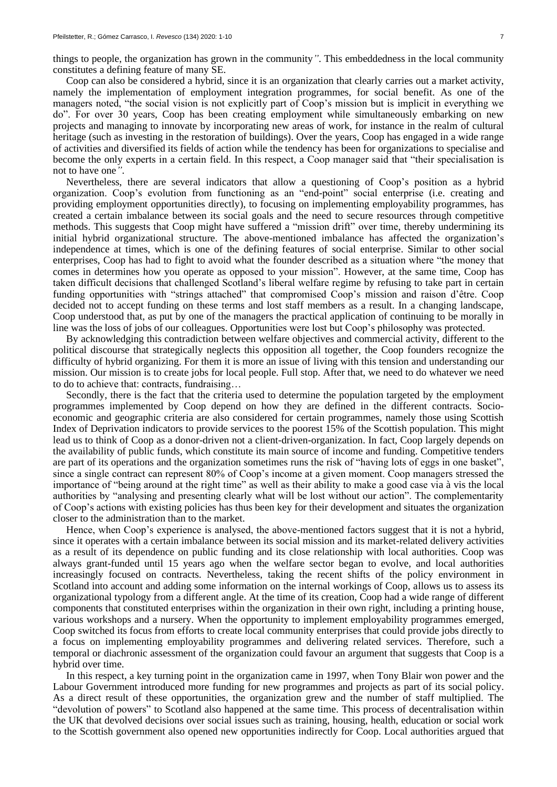things to people, the organization has grown in the community*"*. This embeddedness in the local community constitutes a defining feature of many SE.

Coop can also be considered a hybrid, since it is an organization that clearly carries out a market activity, namely the implementation of employment integration programmes, for social benefit. As one of the managers noted, "the social vision is not explicitly part of Coop's mission but is implicit in everything we do". For over 30 years, Coop has been creating employment while simultaneously embarking on new projects and managing to innovate by incorporating new areas of work, for instance in the realm of cultural heritage (such as investing in the restoration of buildings). Over the years, Coop has engaged in a wide range of activities and diversified its fields of action while the tendency has been for organizations to specialise and become the only experts in a certain field. In this respect, a Coop manager said that "their specialisation is not to have one*"*.

Nevertheless, there are several indicators that allow a questioning of Coop's position as a hybrid organization. Coop's evolution from functioning as an "end-point" social enterprise (i.e. creating and providing employment opportunities directly), to focusing on implementing employability programmes, has created a certain imbalance between its social goals and the need to secure resources through competitive methods. This suggests that Coop might have suffered a "mission drift" over time, thereby undermining its initial hybrid organizational structure. The above-mentioned imbalance has affected the organization's independence at times, which is one of the defining features of social enterprise. Similar to other social enterprises, Coop has had to fight to avoid what the founder described as a situation where "the money that comes in determines how you operate as opposed to your mission". However, at the same time, Coop has taken difficult decisions that challenged Scotland's liberal welfare regime by refusing to take part in certain funding opportunities with "strings attached" that compromised Coop's mission and raison d'être. Coop decided not to accept funding on these terms and lost staff members as a result. In a changing landscape, Coop understood that, as put by one of the managers the practical application of continuing to be morally in line was the loss of jobs of our colleagues. Opportunities were lost but Coop's philosophy was protected.

By acknowledging this contradiction between welfare objectives and commercial activity, different to the political discourse that strategically neglects this opposition all together, the Coop founders recognize the difficulty of hybrid organizing. For them it is more an issue of living with this tension and understanding our mission. Our mission is to create jobs for local people. Full stop. After that, we need to do whatever we need to do to achieve that: contracts, fundraising…

Secondly, there is the fact that the criteria used to determine the population targeted by the employment programmes implemented by Coop depend on how they are defined in the different contracts. Socioeconomic and geographic criteria are also considered for certain programmes, namely those using Scottish Index of Deprivation indicators to provide services to the poorest 15% of the Scottish population. This might lead us to think of Coop as a donor-driven not a client-driven-organization. In fact, Coop largely depends on the availability of public funds, which constitute its main source of income and funding. Competitive tenders are part of its operations and the organization sometimes runs the risk of "having lots of eggs in one basket", since a single contract can represent 80% of Coop's income at a given moment. Coop managers stressed the importance of "being around at the right time" as well as their ability to make a good case via à vis the local authorities by "analysing and presenting clearly what will be lost without our action". The complementarity of Coop's actions with existing policies has thus been key for their development and situates the organization closer to the administration than to the market.

Hence, when Coop's experience is analysed, the above-mentioned factors suggest that it is not a hybrid, since it operates with a certain imbalance between its social mission and its market-related delivery activities as a result of its dependence on public funding and its close relationship with local authorities. Coop was always grant-funded until 15 years ago when the welfare sector began to evolve, and local authorities increasingly focused on contracts. Nevertheless, taking the recent shifts of the policy environment in Scotland into account and adding some information on the internal workings of Coop, allows us to assess its organizational typology from a different angle. At the time of its creation, Coop had a wide range of different components that constituted enterprises within the organization in their own right, including a printing house, various workshops and a nursery. When the opportunity to implement employability programmes emerged, Coop switched its focus from efforts to create local community enterprises that could provide jobs directly to a focus on implementing employability programmes and delivering related services. Therefore, such a temporal or diachronic assessment of the organization could favour an argument that suggests that Coop is a hybrid over time.

In this respect, a key turning point in the organization came in 1997, when Tony Blair won power and the Labour Government introduced more funding for new programmes and projects as part of its social policy. As a direct result of these opportunities, the organization grew and the number of staff multiplied. The "devolution of powers" to Scotland also happened at the same time. This process of decentralisation within the UK that devolved decisions over social issues such as training, housing, health, education or social work to the Scottish government also opened new opportunities indirectly for Coop. Local authorities argued that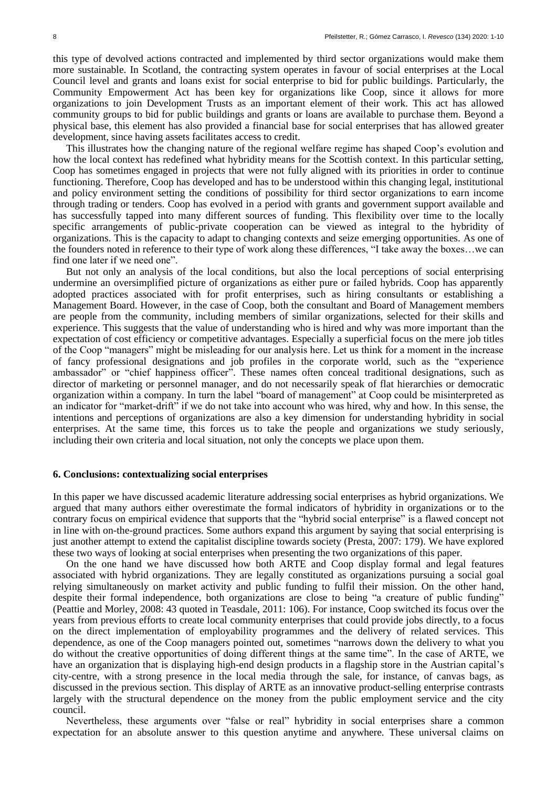this type of devolved actions contracted and implemented by third sector organizations would make them more sustainable. In Scotland, the contracting system operates in favour of social enterprises at the Local Council level and grants and loans exist for social enterprise to bid for public buildings. Particularly, the Community Empowerment Act has been key for organizations like Coop, since it allows for more organizations to join Development Trusts as an important element of their work. This act has allowed community groups to bid for public buildings and grants or loans are available to purchase them. Beyond a physical base, this element has also provided a financial base for social enterprises that has allowed greater development, since having assets facilitates access to credit.

This illustrates how the changing nature of the regional welfare regime has shaped Coop's evolution and how the local context has redefined what hybridity means for the Scottish context. In this particular setting, Coop has sometimes engaged in projects that were not fully aligned with its priorities in order to continue functioning. Therefore, Coop has developed and has to be understood within this changing legal, institutional and policy environment setting the conditions of possibility for third sector organizations to earn income through trading or tenders. Coop has evolved in a period with grants and government support available and has successfully tapped into many different sources of funding. This flexibility over time to the locally specific arrangements of public-private cooperation can be viewed as integral to the hybridity of organizations. This is the capacity to adapt to changing contexts and seize emerging opportunities. As one of the founders noted in reference to their type of work along these differences, "I take away the boxes…we can find one later if we need one".

But not only an analysis of the local conditions, but also the local perceptions of social enterprising undermine an oversimplified picture of organizations as either pure or failed hybrids. Coop has apparently adopted practices associated with for profit enterprises, such as hiring consultants or establishing a Management Board. However, in the case of Coop, both the consultant and Board of Management members are people from the community, including members of similar organizations, selected for their skills and experience. This suggests that the value of understanding who is hired and why was more important than the expectation of cost efficiency or competitive advantages. Especially a superficial focus on the mere job titles of the Coop "managers" might be misleading for our analysis here. Let us think for a moment in the increase of fancy professional designations and job profiles in the corporate world, such as the "experience ambassador" or "chief happiness officer". These names often conceal traditional designations, such as director of marketing or personnel manager, and do not necessarily speak of flat hierarchies or democratic organization within a company. In turn the label "board of management" at Coop could be misinterpreted as an indicator for "market-drift" if we do not take into account who was hired, why and how. In this sense, the intentions and perceptions of organizations are also a key dimension for understanding hybridity in social enterprises. At the same time, this forces us to take the people and organizations we study seriously, including their own criteria and local situation, not only the concepts we place upon them.

## **6. Conclusions: contextualizing social enterprises**

In this paper we have discussed academic literature addressing social enterprises as hybrid organizations. We argued that many authors either overestimate the formal indicators of hybridity in organizations or to the contrary focus on empirical evidence that supports that the "hybrid social enterprise" is a flawed concept not in line with on-the-ground practices. Some authors expand this argument by saying that social enterprising is just another attempt to extend the capitalist discipline towards society (Presta, 2007: 179). We have explored these two ways of looking at social enterprises when presenting the two organizations of this paper.

On the one hand we have discussed how both ARTE and Coop display formal and legal features associated with hybrid organizations. They are legally constituted as organizations pursuing a social goal relying simultaneously on market activity and public funding to fulfil their mission. On the other hand, despite their formal independence, both organizations are close to being "a creature of public funding" (Peattie and Morley, 2008: 43 quoted in Teasdale, 2011: 106). For instance, Coop switched its focus over the years from previous efforts to create local community enterprises that could provide jobs directly, to a focus on the direct implementation of employability programmes and the delivery of related services. This dependence, as one of the Coop managers pointed out, sometimes "narrows down the delivery to what you do without the creative opportunities of doing different things at the same time". In the case of ARTE, we have an organization that is displaying high-end design products in a flagship store in the Austrian capital's city-centre, with a strong presence in the local media through the sale, for instance, of canvas bags, as discussed in the previous section. This display of ARTE as an innovative product-selling enterprise contrasts largely with the structural dependence on the money from the public employment service and the city council.

Nevertheless, these arguments over "false or real" hybridity in social enterprises share a common expectation for an absolute answer to this question anytime and anywhere. These universal claims on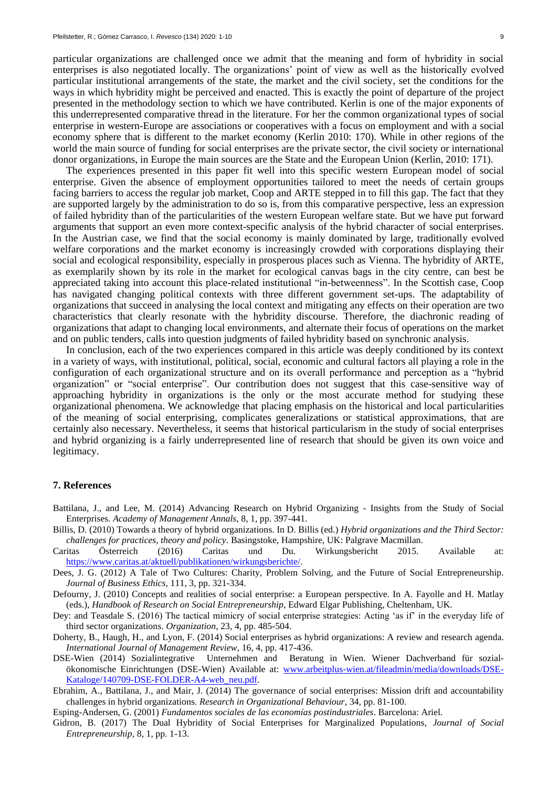particular organizations are challenged once we admit that the meaning and form of hybridity in social enterprises is also negotiated locally. The organizations' point of view as well as the historically evolved particular institutional arrangements of the state, the market and the civil society, set the conditions for the ways in which hybridity might be perceived and enacted. This is exactly the point of departure of the project presented in the methodology section to which we have contributed. Kerlin is one of the major exponents of this underrepresented comparative thread in the literature. For her the common organizational types of social enterprise in western-Europe are associations or cooperatives with a focus on employment and with a social economy sphere that is different to the market economy (Kerlin 2010: 170). While in other regions of the world the main source of funding for social enterprises are the private sector, the civil society or international donor organizations, in Europe the main sources are the State and the European Union (Kerlin, 2010: 171).

The experiences presented in this paper fit well into this specific western European model of social enterprise. Given the absence of employment opportunities tailored to meet the needs of certain groups facing barriers to access the regular job market, Coop and ARTE stepped in to fill this gap. The fact that they are supported largely by the administration to do so is, from this comparative perspective, less an expression of failed hybridity than of the particularities of the western European welfare state. But we have put forward arguments that support an even more context-specific analysis of the hybrid character of social enterprises. In the Austrian case, we find that the social economy is mainly dominated by large, traditionally evolved welfare corporations and the market economy is increasingly crowded with corporations displaying their social and ecological responsibility, especially in prosperous places such as Vienna. The hybridity of ARTE, as exemplarily shown by its role in the market for ecological canvas bags in the city centre, can best be appreciated taking into account this place-related institutional "in-betweenness". In the Scottish case, Coop has navigated changing political contexts with three different government set-ups. The adaptability of organizations that succeed in analysing the local context and mitigating any effects on their operation are two characteristics that clearly resonate with the hybridity discourse. Therefore, the diachronic reading of organizations that adapt to changing local environments, and alternate their focus of operations on the market and on public tenders, calls into question judgments of failed hybridity based on synchronic analysis.

In conclusion, each of the two experiences compared in this article was deeply conditioned by its context in a variety of ways, with institutional, political, social, economic and cultural factors all playing a role in the configuration of each organizational structure and on its overall performance and perception as a "hybrid organization" or "social enterprise". Our contribution does not suggest that this case-sensitive way of approaching hybridity in organizations is the only or the most accurate method for studying these organizational phenomena. We acknowledge that placing emphasis on the historical and local particularities of the meaning of social enterprising, complicates generalizations or statistical approximations, that are certainly also necessary. Nevertheless, it seems that historical particularism in the study of social enterprises and hybrid organizing is a fairly underrepresented line of research that should be given its own voice and legitimacy.

## **7. References**

- Battilana, J., and Lee, M. (2014) Advancing Research on Hybrid Organizing Insights from the Study of Social Enterprises. *Academy of Management Annals*, 8, 1, pp. 397-441.
- Billis, D. (2010) Towards a theory of hybrid organizations. In D. Billis (ed.) *Hybrid organizations and the Third Sector: challenges for practices, theory and policy*. Basingstoke, Hampshire, UK: Palgrave Macmillan.
- Caritas Österreich (2016) Caritas und Du. Wirkungsbericht 2015. Available at: [https://www.caritas.at/aktuell/publikationen/wirkungsberichte/.](https://www.caritas.at/aktuell/publikationen/wirkungsberichte/)
- Dees, J. G. (2012) A Tale of Two Cultures: Charity, Problem Solving, and the Future of Social Entrepreneurship. *Journal of Business Ethics*, 111, 3, pp. 321-334.
- Defourny, J. (2010) Concepts and realities of social enterprise: a European perspective. In A. Fayolle and H. Matlay (eds.), *Handbook of Research on Social Entrepreneurship*, Edward Elgar Publishing, Cheltenham, UK.
- Dey: and Teasdale S. (2016) The tactical mimicry of social enterprise strategies: Acting 'as if' in the everyday life of third sector organizations. *Organization*, 23, 4, pp. 485-504.
- Doherty, B., Haugh, H., and Lyon, F. (2014) Social enterprises as hybrid organizations: A review and research agenda. *International Journal of Management Review*, 16, 4, pp. 417-436.
- DSE-Wien (2014) Sozialintegrative Unternehmen and Beratung in Wien. Wiener Dachverband für sozialökonomische Einrichtungen (DSE-Wien) Available at: [www.arbeitplus-wien.at/fileadmin/media/downloads/DSE-](http://www.arbeitplus-wien.at/fileadmin/media/downloads/DSE-Kataloge/140709-DSE-FOLDER-A4-web_neu.pdf)[Kataloge/140709-DSE-FOLDER-A4-web\\_neu.pdf.](http://www.arbeitplus-wien.at/fileadmin/media/downloads/DSE-Kataloge/140709-DSE-FOLDER-A4-web_neu.pdf)
- Ebrahim, A., Battilana, J., and Mair, J. (2014) The governance of social enterprises: Mission drift and accountability challenges in hybrid organizations. *Research in Organizational Behaviour*, 34, pp. 81-100.
- Esping-Andersen, G. (2001) *Fundamentos sociales de las economías postindustriales*. Barcelona: Ariel.
- Gidron, B. (2017) The Dual Hybridity of Social Enterprises for Marginalized Populations, *Journal of Social Entrepreneurship*, 8, 1, pp. 1-13.